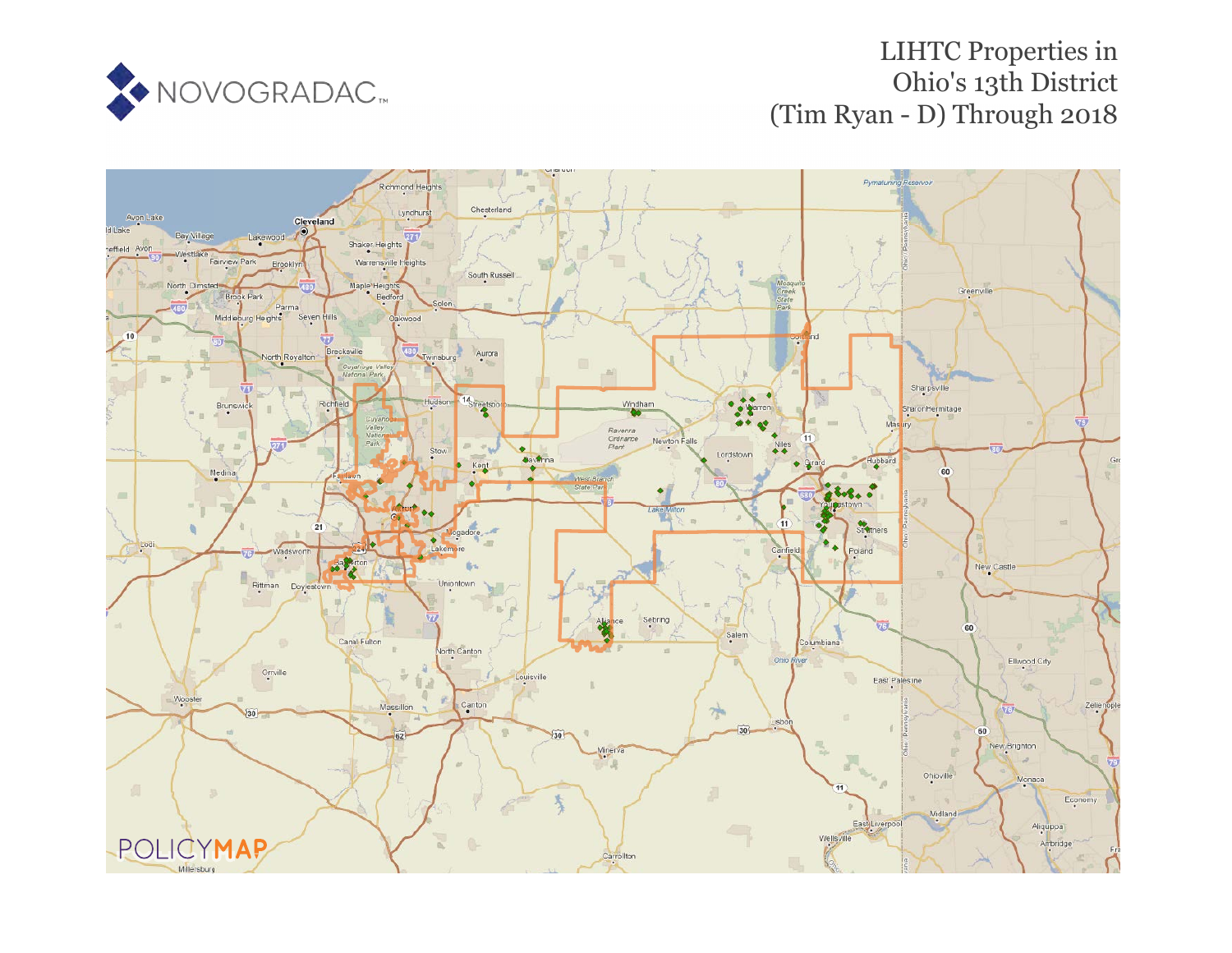

# LIHTC Properties in Ohio's 13th District (Tim Ryan - D) Through 2018

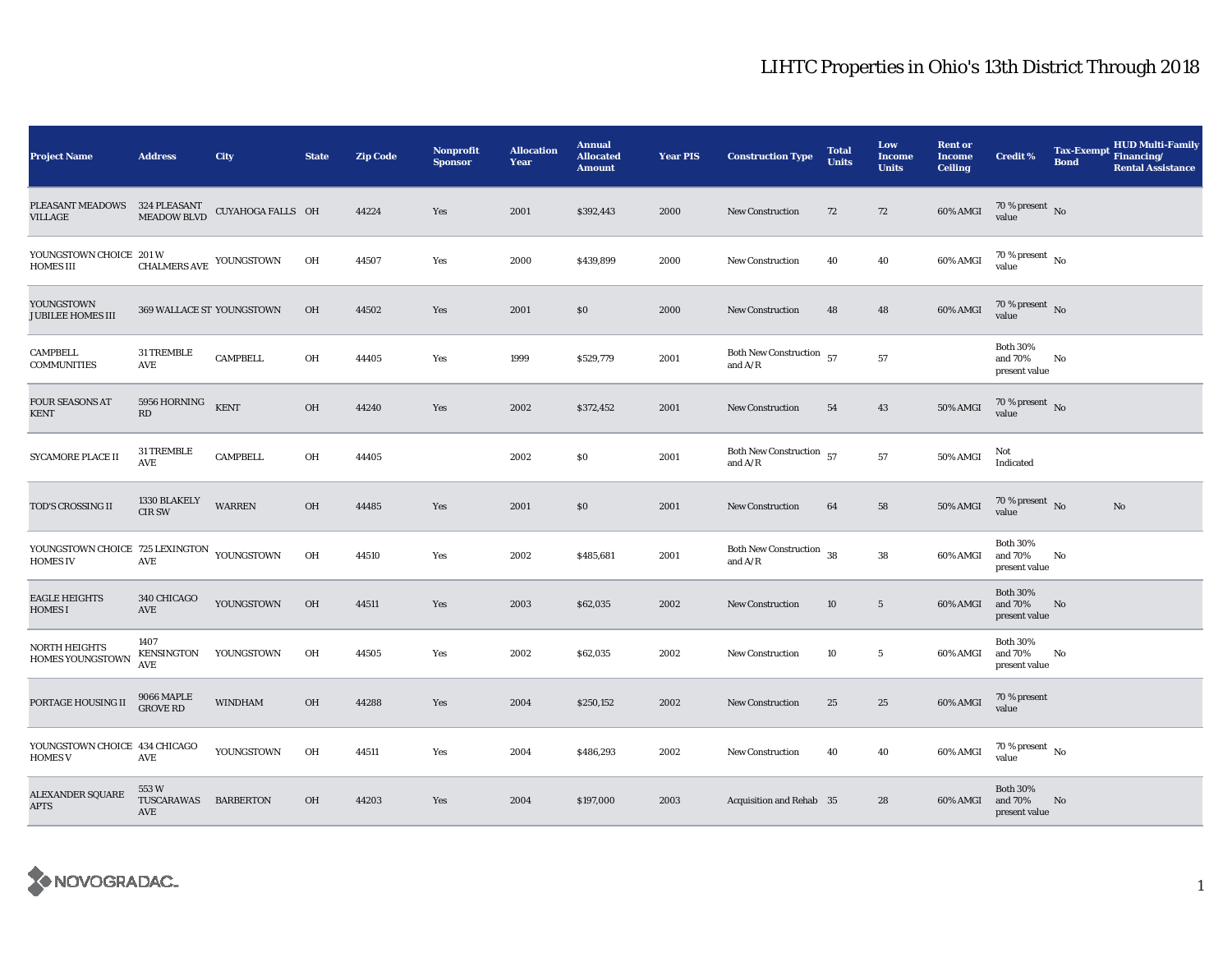| <b>Project Name</b>                                           | <b>Address</b>                     | <b>City</b>       | <b>State</b> | <b>Zip Code</b> | <b>Nonprofit</b><br><b>Sponsor</b> | <b>Allocation</b><br><b>Year</b> | <b>Annual</b><br><b>Allocated</b><br><b>Amount</b> | <b>Year PIS</b> | <b>Construction Type</b>                       | <b>Total</b><br><b>Units</b> | Low<br><b>Income</b><br><b>Units</b> | <b>Rent or</b><br><b>Income</b><br><b>Ceiling</b> | <b>Credit %</b>                             | <b>Tax-Exempt</b><br><b>Bond</b> | <b>HUD Multi-Family</b><br>Financing/<br><b>Rental Assistance</b> |
|---------------------------------------------------------------|------------------------------------|-------------------|--------------|-----------------|------------------------------------|----------------------------------|----------------------------------------------------|-----------------|------------------------------------------------|------------------------------|--------------------------------------|---------------------------------------------------|---------------------------------------------|----------------------------------|-------------------------------------------------------------------|
| PLEASANT MEADOWS<br>VILLAGE                                   | 324 PLEASANT<br><b>MEADOW BLVD</b> | CUYAHOGA FALLS OH |              | 44224           | Yes                                | 2001                             | \$392,443                                          | 2000            | <b>New Construction</b>                        | 72                           | 72                                   | 60% AMGI                                          | 70 % present $\hbox{~No}$<br>value          |                                  |                                                                   |
| YOUNGSTOWN CHOICE 201 W<br><b>HOMES III</b>                   | CHALMERS AVE YOUNGSTOWN            |                   | OH           | 44507           | Yes                                | 2000                             | \$439,899                                          | 2000            | <b>New Construction</b>                        | 40                           | 40                                   | 60% AMGI                                          | 70 % present $\hbox{~No}$<br>value          |                                  |                                                                   |
| YOUNGSTOWN<br><b>JUBILEE HOMES III</b>                        | 369 WALLACE ST YOUNGSTOWN          |                   | OH           | 44502           | Yes                                | 2001                             | \$0                                                | 2000            | <b>New Construction</b>                        | 48                           | 48                                   | 60% AMGI                                          | 70 % present $\hbox{~No}$<br>value          |                                  |                                                                   |
| <b>CAMPBELL</b><br><b>COMMUNITIES</b>                         | 31 TREMBLE<br>AVE                  | <b>CAMPBELL</b>   | OH           | 44405           | Yes                                | 1999                             | \$529,779                                          | 2001            | Both New Construction $\,$ 57<br>and $\rm A/R$ |                              | 57                                   |                                                   | <b>Both 30%</b><br>and 70%<br>present value | No                               |                                                                   |
| <b>FOUR SEASONS AT</b><br><b>KENT</b>                         | 5956 HORNING<br>RD                 | <b>KENT</b>       | OH           | 44240           | Yes                                | 2002                             | \$372,452                                          | 2001            | <b>New Construction</b>                        | 54                           | 43                                   | 50% AMGI                                          | 70 % present $\,$ No $\,$<br>value          |                                  |                                                                   |
| SYCAMORE PLACE II                                             | 31 TREMBLE<br>AVE                  | <b>CAMPBELL</b>   | OH           | 44405           |                                    | 2002                             | \$0                                                | 2001            | Both New Construction 57<br>and $A/R$          |                              | 57                                   | 50% AMGI                                          | Not<br>Indicated                            |                                  |                                                                   |
| TOD'S CROSSING II                                             | 1330 BLAKELY<br><b>CIR SW</b>      | <b>WARREN</b>     | OH           | 44485           | Yes                                | 2001                             | \$0                                                | 2001            | New Construction                               | 64                           | 58                                   | 50% AMGI                                          | 70 % present $\hbox{~No}$<br>value          |                                  | $\mathbf{No}$                                                     |
| YOUNGSTOWN CHOICE 725 LEXINGTON YOUNGSTOWN<br><b>HOMES IV</b> | AVE                                |                   | OH           | 44510           | Yes                                | 2002                             | \$485,681                                          | 2001            | <b>Both New Construction</b><br>and $A/R$      | 38                           | 38                                   | 60% AMGI                                          | <b>Both 30%</b><br>and 70%<br>present value | No                               |                                                                   |
| <b>EAGLE HEIGHTS</b><br><b>HOMES I</b>                        | 340 CHICAGO<br>AVE                 | YOUNGSTOWN        | OH           | 44511           | Yes                                | 2003                             | \$62,035                                           | 2002            | New Construction                               | 10                           | $5\phantom{.0}$                      | 60% AMGI                                          | <b>Both 30%</b><br>and 70%<br>present value | No                               |                                                                   |
| NORTH HEIGHTS<br><b>HOMES YOUNGSTOWN</b>                      | 1407<br><b>KENSINGTON</b><br>AVE   | YOUNGSTOWN        | OH           | 44505           | Yes                                | 2002                             | \$62,035                                           | 2002            | <b>New Construction</b>                        | 10                           | $5\phantom{.0}$                      | 60% AMGI                                          | <b>Both 30%</b><br>and 70%<br>present value | No                               |                                                                   |
| PORTAGE HOUSING II                                            | 9066 MAPLE<br><b>GROVE RD</b>      | <b>WINDHAM</b>    | OH           | 44288           | Yes                                | 2004                             | \$250,152                                          | 2002            | New Construction                               | 25                           | 25                                   | 60% AMGI                                          | 70 % present<br>value                       |                                  |                                                                   |
| YOUNGSTOWN CHOICE 434 CHICAGO<br><b>HOMES V</b>               | AVE                                | YOUNGSTOWN        | OH           | 44511           | Yes                                | 2004                             | \$486,293                                          | 2002            | <b>New Construction</b>                        | 40                           | 40                                   | 60% AMGI                                          | 70 % present $\hbox{~No}$<br>value          |                                  |                                                                   |
| <b>ALEXANDER SQUARE</b><br><b>APTS</b>                        | 553W<br>TUSCARAWAS<br>AVE          | <b>BARBERTON</b>  | OH           | 44203           | Yes                                | 2004                             | \$197,000                                          | 2003            | Acquisition and Rehab 35                       |                              | 28                                   | 60% AMGI                                          | <b>Both 30%</b><br>and 70%<br>present value | No                               |                                                                   |

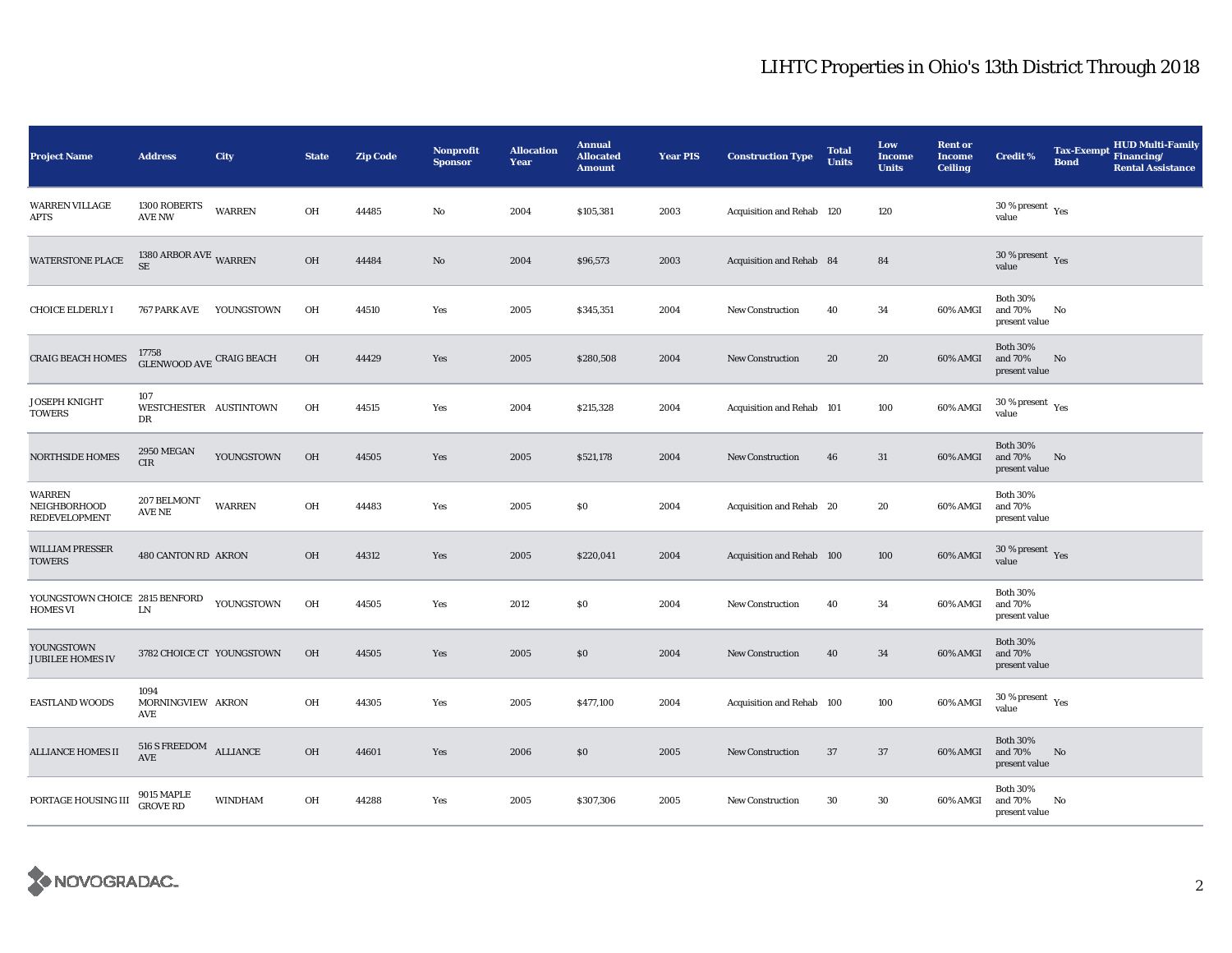| <b>Project Name</b>                        | <b>Address</b>                                                          | City           | <b>State</b> | <b>Zip Code</b> | Nonprofit<br><b>Sponsor</b> | <b>Allocation</b><br>Year | <b>Annual</b><br><b>Allocated</b><br><b>Amount</b> | <b>Year PIS</b> | <b>Construction Type</b>  | <b>Total</b><br><b>Units</b> | Low<br><b>Income</b><br><b>Units</b> | <b>Rent or</b><br><b>Income</b><br><b>Ceiling</b> | <b>Credit %</b>                             | <b>Tax-Exempt</b><br><b>Bond</b> | <b>HUD Multi-Family</b><br>Financing/<br><b>Rental Assistance</b> |
|--------------------------------------------|-------------------------------------------------------------------------|----------------|--------------|-----------------|-----------------------------|---------------------------|----------------------------------------------------|-----------------|---------------------------|------------------------------|--------------------------------------|---------------------------------------------------|---------------------------------------------|----------------------------------|-------------------------------------------------------------------|
| <b>WARREN VILLAGE</b><br>APTS              | 1300 ROBERTS<br><b>AVE NW</b>                                           | <b>WARREN</b>  | OH           | 44485           | No                          | 2004                      | \$105,381                                          | 2003            | Acquisition and Rehab 120 |                              | 120                                  |                                                   | $30\,\%$ present $\,$ $\rm Yes$<br>value    |                                  |                                                                   |
| <b>WATERSTONE PLACE</b>                    | 1380 ARBOR AVE WARREN<br>$\rm SE$                                       |                | OH           | 44484           | No                          | 2004                      | \$96,573                                           | 2003            | Acquisition and Rehab 84  |                              | 84                                   |                                                   | $30$ % present $\,$ $\rm Yes$<br>value      |                                  |                                                                   |
| <b>CHOICE ELDERLY I</b>                    | 767 PARK AVE                                                            | YOUNGSTOWN     | OH           | 44510           | Yes                         | 2005                      | \$345,351                                          | 2004            | <b>New Construction</b>   | 40                           | 34                                   | 60% AMGI                                          | <b>Both 30%</b><br>and 70%<br>present value | No                               |                                                                   |
| <b>CRAIG BEACH HOMES</b>                   | $17758$ GLENWOOD AVE CRAIG BEACH                                        |                | OH           | 44429           | Yes                         | 2005                      | \$280,508                                          | 2004            | <b>New Construction</b>   | 20                           | 20                                   | 60% AMGI                                          | <b>Both 30%</b><br>and 70%<br>present value | No                               |                                                                   |
| <b>JOSEPH KNIGHT</b><br>TOWERS             | 107<br>WESTCHESTER AUSTINTOWN<br>DR                                     |                | OH           | 44515           | Yes                         | 2004                      | \$215,328                                          | 2004            | Acquisition and Rehab 101 |                              | 100                                  | 60% AMGI                                          | $30$ % present $\,$ $\rm Yes$<br>value      |                                  |                                                                   |
| <b>NORTHSIDE HOMES</b>                     | 2950 MEGAN<br>CIR                                                       | YOUNGSTOWN     | OH           | 44505           | Yes                         | 2005                      | \$521,178                                          | 2004            | <b>New Construction</b>   | 46                           | 31                                   | 60% AMGI                                          | <b>Both 30%</b><br>and 70%<br>present value | No                               |                                                                   |
| WARREN<br>NEIGHBORHOOD<br>REDEVELOPMENT    | 207 BELMONT<br>AVE NE                                                   | <b>WARREN</b>  | OH           | 44483           | Yes                         | 2005                      | $\$0$                                              | 2004            | Acquisition and Rehab 20  |                              | 20                                   | 60% AMGI                                          | <b>Both 30%</b><br>and 70%<br>present value |                                  |                                                                   |
| <b>WILLIAM PRESSER</b><br><b>TOWERS</b>    | 480 CANTON RD AKRON                                                     |                | OH           | 44312           | Yes                         | 2005                      | \$220,041                                          | 2004            | Acquisition and Rehab 100 |                              | 100                                  | 60% AMGI                                          | 30 % present $Yes$<br>value                 |                                  |                                                                   |
| YOUNGSTOWN CHOICE 2815 BENFORD<br>HOMES VI | ${\rm LN}$                                                              | YOUNGSTOWN     | OH           | 44505           | Yes                         | 2012                      | \$0                                                | 2004            | <b>New Construction</b>   | 40                           | 34                                   | 60% AMGI                                          | <b>Both 30%</b><br>and 70%<br>present value |                                  |                                                                   |
| YOUNGSTOWN<br><b>JUBILEE HOMES IV</b>      | 3782 CHOICE CT YOUNGSTOWN                                               |                | OH           | 44505           | Yes                         | 2005                      | \$0\$                                              | 2004            | <b>New Construction</b>   | 40                           | 34                                   | 60% AMGI                                          | <b>Both 30%</b><br>and 70%<br>present value |                                  |                                                                   |
| <b>EASTLAND WOODS</b>                      | 1094<br>MORNINGVIEW AKRON<br>AVE                                        |                | OH           | 44305           | Yes                         | 2005                      | \$477,100                                          | 2004            | Acquisition and Rehab 100 |                              | 100                                  | 60% AMGI                                          | $30$ % present $\,$ $\rm Yes$<br>value      |                                  |                                                                   |
| <b>ALLIANCE HOMES II</b>                   | $516$ S $\rm FREEDOM$ $\rm \,ALLIANCE$<br>$\operatorname{\mathbf{AVE}}$ |                | OH           | 44601           | Yes                         | 2006                      | \$0                                                | 2005            | <b>New Construction</b>   | 37                           | 37                                   | 60% AMGI                                          | <b>Both 30%</b><br>and 70%<br>present value | No                               |                                                                   |
| PORTAGE HOUSING III                        | 9015 MAPLE<br><b>GROVE RD</b>                                           | <b>WINDHAM</b> | OH           | 44288           | Yes                         | 2005                      | \$307,306                                          | 2005            | <b>New Construction</b>   | 30                           | 30                                   | 60% AMGI                                          | <b>Both 30%</b><br>and 70%<br>present value | No                               |                                                                   |

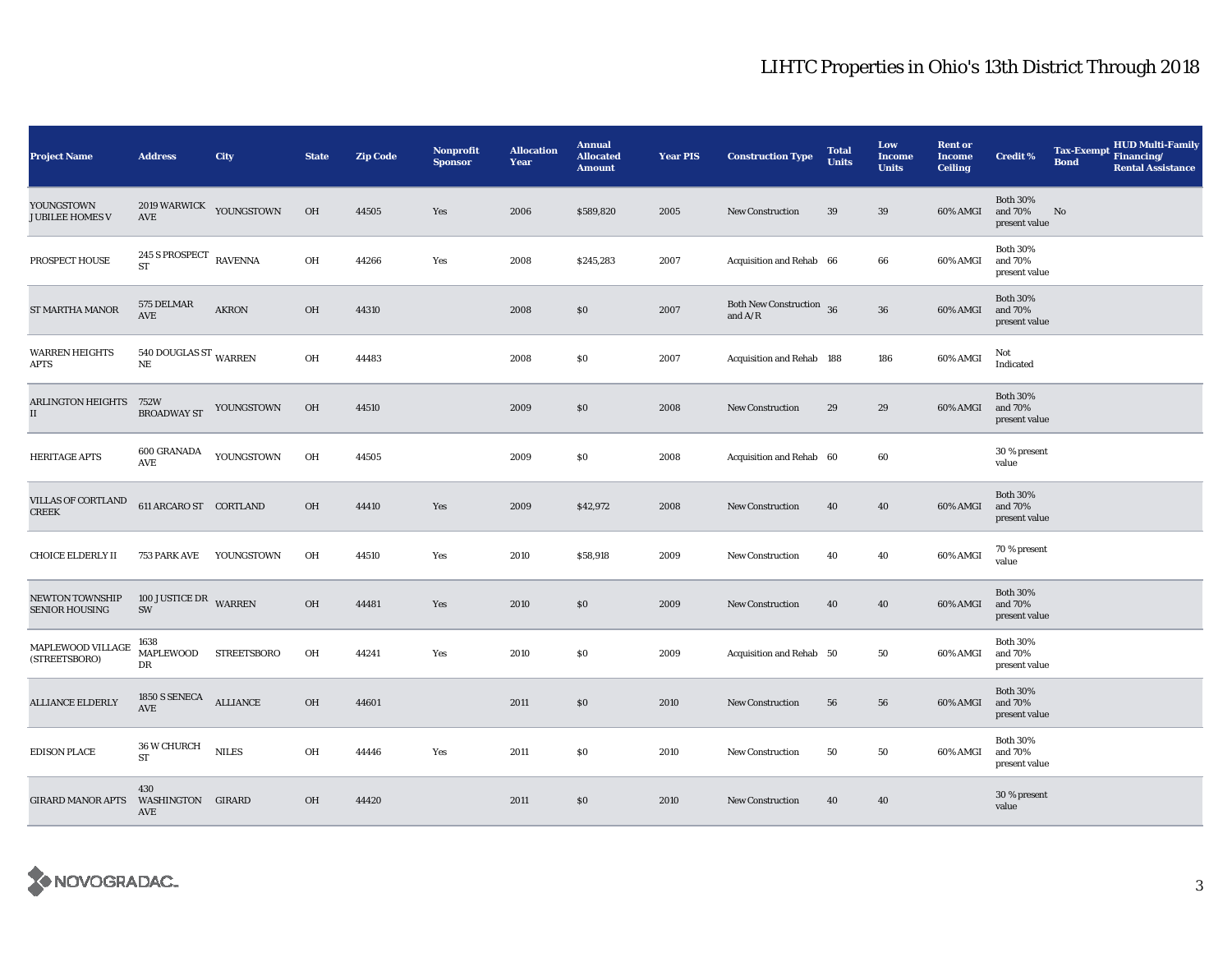| <b>Project Name</b>                              | <b>Address</b>                    | City               | <b>State</b> | <b>Zip Code</b> | <b>Nonprofit</b><br><b>Sponsor</b> | <b>Allocation</b><br>Year | <b>Annual</b><br><b>Allocated</b><br><b>Amount</b> | <b>Year PIS</b> | <b>Construction Type</b>              | <b>Total</b><br><b>Units</b> | Low<br><b>Income</b><br><b>Units</b> | <b>Rent or</b><br><b>Income</b><br><b>Ceiling</b> | <b>Credit %</b>                             | <b>Tax-Exempt</b><br><b>Bond</b> | <b>HUD Multi-Family</b><br>Financing/<br><b>Rental Assistance</b> |
|--------------------------------------------------|-----------------------------------|--------------------|--------------|-----------------|------------------------------------|---------------------------|----------------------------------------------------|-----------------|---------------------------------------|------------------------------|--------------------------------------|---------------------------------------------------|---------------------------------------------|----------------------------------|-------------------------------------------------------------------|
| YOUNGSTOWN<br><b>JUBILEE HOMES V</b>             | <b>2019 WARWICK</b><br>AVE        | YOUNGSTOWN         | <b>OH</b>    | 44505           | Yes                                | 2006                      | \$589,820                                          | 2005            | <b>New Construction</b>               | 39                           | 39                                   | 60% AMGI                                          | <b>Both 30%</b><br>and 70%<br>present value | No                               |                                                                   |
| PROSPECT HOUSE                                   | 245 S PROSPECT RAVENNA<br>ST      |                    | OH           | 44266           | Yes                                | 2008                      | \$245,283                                          | 2007            | Acquisition and Rehab 66              |                              | 66                                   | 60% AMGI                                          | <b>Both 30%</b><br>and 70%<br>present value |                                  |                                                                   |
| ST MARTHA MANOR                                  | 575 DELMAR<br><b>AVE</b>          | <b>AKRON</b>       | OH           | 44310           |                                    | 2008                      | \$0                                                | 2007            | Both New Construction 36<br>and $A/R$ |                              | ${\bf 36}$                           | 60% AMGI                                          | <b>Both 30%</b><br>and 70%<br>present value |                                  |                                                                   |
| <b>WARREN HEIGHTS</b><br><b>APTS</b>             | 540 DOUGLAS ST WARREN<br>$\rm NE$ |                    | OH           | 44483           |                                    | 2008                      | \$0                                                | 2007            | Acquisition and Rehab 188             |                              | 186                                  | 60% AMGI                                          | Not<br>Indicated                            |                                  |                                                                   |
| <b>ARLINGTON HEIGHTS</b><br>$\scriptstyle\rm II$ | 752W<br><b>BROADWAY ST</b>        | YOUNGSTOWN         | <b>OH</b>    | 44510           |                                    | 2009                      | \$0                                                | 2008            | New Construction                      | 29                           | 29                                   | 60% AMGI                                          | <b>Both 30%</b><br>and 70%<br>present value |                                  |                                                                   |
| <b>HERITAGE APTS</b>                             | 600 GRANADA<br><b>AVE</b>         | YOUNGSTOWN         | OH           | 44505           |                                    | 2009                      | \$0                                                | 2008            | Acquisition and Rehab 60              |                              | 60                                   |                                                   | 30 % present<br>value                       |                                  |                                                                   |
| VILLAS OF CORTLAND<br><b>CREEK</b>               | 611 ARCARO ST CORTLAND            |                    | OH           | 44410           | Yes                                | 2009                      | \$42,972                                           | 2008            | New Construction                      | 40                           | 40                                   | 60% AMGI                                          | <b>Both 30%</b><br>and 70%<br>present value |                                  |                                                                   |
| <b>CHOICE ELDERLY II</b>                         | 753 PARK AVE                      | YOUNGSTOWN         | OH           | 44510           | Yes                                | 2010                      | \$58,918                                           | 2009            | <b>New Construction</b>               | 40                           | 40                                   | 60% AMGI                                          | 70 % present<br>value                       |                                  |                                                                   |
| <b>NEWTON TOWNSHIP</b><br><b>SENIOR HOUSING</b>  | 100 JUSTICE DR WARREN<br>SW       |                    | OH           | 44481           | Yes                                | 2010                      | \$0                                                | 2009            | New Construction                      | 40                           | 40                                   | 60% AMGI                                          | <b>Both 30%</b><br>and 70%<br>present value |                                  |                                                                   |
| MAPLEWOOD VILLAGE<br>(STREETSBORO)               | 1638<br><b>MAPLEWOOD</b><br>DR    | <b>STREETSBORO</b> | OH           | 44241           | Yes                                | 2010                      | \$0                                                | 2009            | Acquisition and Rehab 50              |                              | 50                                   | 60% AMGI                                          | <b>Both 30%</b><br>and 70%<br>present value |                                  |                                                                   |
| <b>ALLIANCE ELDERLY</b>                          | 1850 S SENECA<br><b>AVE</b>       | <b>ALLIANCE</b>    | OH           | 44601           |                                    | 2011                      | \$0                                                | 2010            | <b>New Construction</b>               | 56                           | 56                                   | 60% AMGI                                          | <b>Both 30%</b><br>and 70%<br>present value |                                  |                                                                   |
| <b>EDISON PLACE</b>                              | 36 W CHURCH<br><b>ST</b>          | <b>NILES</b>       | OH           | 44446           | Yes                                | 2011                      | $\$0$                                              | 2010            | <b>New Construction</b>               | 50                           | 50                                   | 60% AMGI                                          | <b>Both 30%</b><br>and 70%<br>present value |                                  |                                                                   |
| <b>GIRARD MANOR APTS</b>                         | 430<br>WASHINGTON GIRARD<br>AVE   |                    | OH           | 44420           |                                    | 2011                      | \$0                                                | 2010            | <b>New Construction</b>               | 40                           | 40                                   |                                                   | 30 % present<br>value                       |                                  |                                                                   |

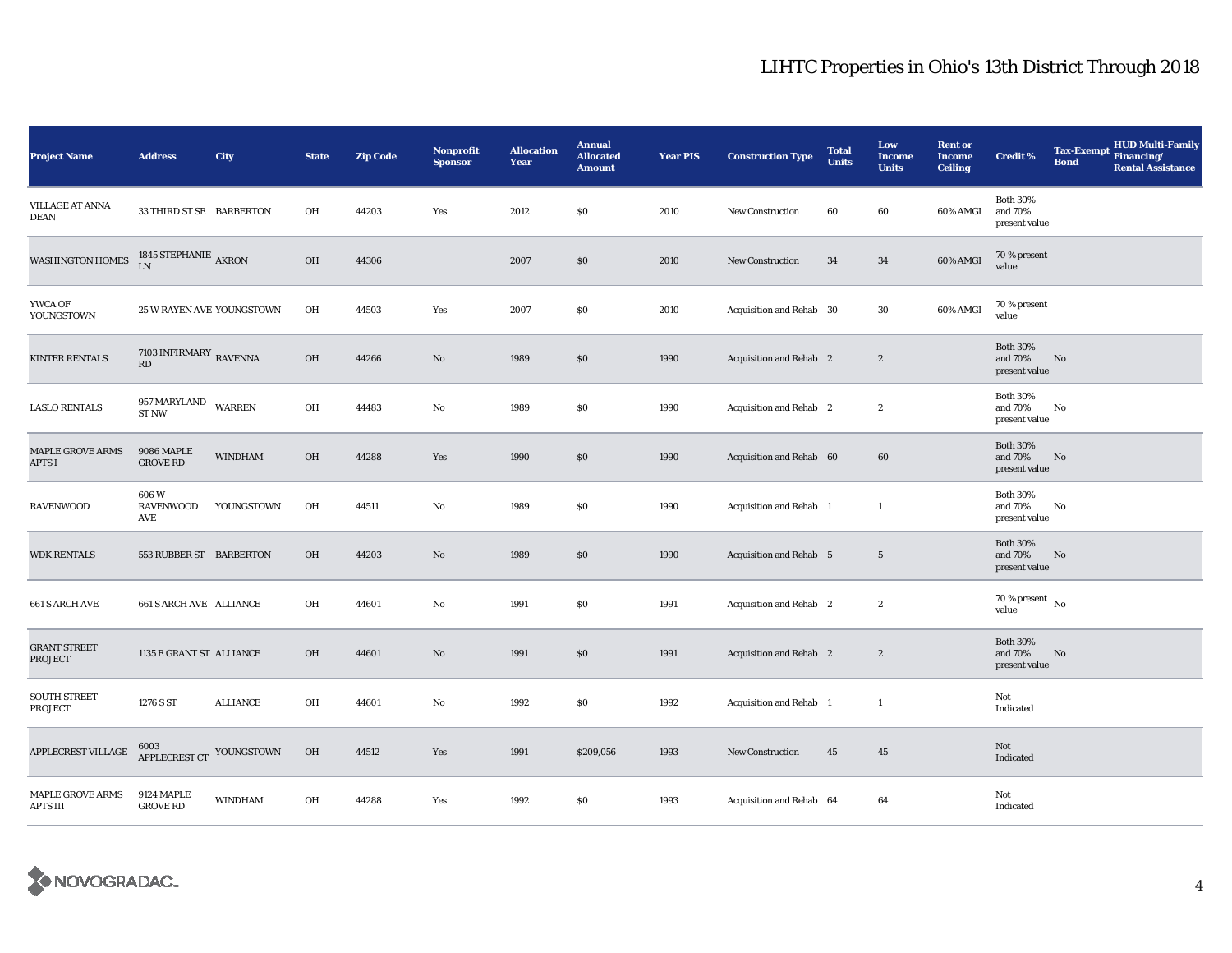| <b>Project Name</b>                   | <b>Address</b>                                              | City           | <b>State</b> | <b>Zip Code</b> | <b>Nonprofit</b><br><b>Sponsor</b> | <b>Allocation</b><br>Year | <b>Annual</b><br><b>Allocated</b><br><b>Amount</b> | <b>Year PIS</b> | <b>Construction Type</b>       | <b>Total</b><br><b>Units</b> | Low<br><b>Income</b><br><b>Units</b> | <b>Rent or</b><br><b>Income</b><br><b>Ceiling</b> | <b>Credit %</b>                             | Tax-Exempt Financing/<br><b>Bond</b> | HUD Multi-Family<br><b>Rental Assistance</b> |
|---------------------------------------|-------------------------------------------------------------|----------------|--------------|-----------------|------------------------------------|---------------------------|----------------------------------------------------|-----------------|--------------------------------|------------------------------|--------------------------------------|---------------------------------------------------|---------------------------------------------|--------------------------------------|----------------------------------------------|
| <b>VILLAGE AT ANNA</b><br>DEAN        | 33 THIRD ST SE BARBERTON                                    |                | OH           | 44203           | Yes                                | 2012                      | \$0                                                | 2010            | <b>New Construction</b>        | 60                           | 60                                   | 60% AMGI                                          | <b>Both 30%</b><br>and 70%<br>present value |                                      |                                              |
| <b>WASHINGTON HOMES</b>               | 1845 STEPHANIE $_{\mbox{\small AKRON}}$                     |                | OH           | 44306           |                                    | 2007                      | $\$0$                                              | 2010            | <b>New Construction</b>        | 34                           | 34                                   | 60% AMGI                                          | 70 % present<br>value                       |                                      |                                              |
| YWCA OF<br>YOUNGSTOWN                 | 25 W RAYEN AVE YOUNGSTOWN                                   |                | OH           | 44503           | Yes                                | 2007                      | \$0                                                | 2010            | Acquisition and Rehab 30       |                              | 30                                   | 60% AMGI                                          | 70 % present<br>value                       |                                      |                                              |
| <b>KINTER RENTALS</b>                 | 7103 INFIRMARY $_{\rm \,RAVENNA}$<br>$\mathbf{R}\mathbf{D}$ |                | OH           | 44266           | $\mathbf{N}\mathbf{o}$             | 1989                      | \$0                                                | 1990            | Acquisition and Rehab 2        |                              | $\boldsymbol{2}$                     |                                                   | <b>Both 30%</b><br>and 70%<br>present value | $\mathbf{No}$                        |                                              |
| <b>LASLO RENTALS</b>                  | 957 MARYLAND<br>ST NW                                       | <b>WARREN</b>  | OH           | 44483           | No                                 | 1989                      | \$0                                                | 1990            | Acquisition and Rehab 2        |                              | $\boldsymbol{2}$                     |                                                   | <b>Both 30%</b><br>and 70%<br>present value | No                                   |                                              |
| MAPLE GROVE ARMS<br>APTS I            | 9086 MAPLE<br><b>GROVE RD</b>                               | <b>WINDHAM</b> | OH           | 44288           | Yes                                | 1990                      | \$0                                                | 1990            | Acquisition and Rehab 60       |                              | 60                                   |                                                   | <b>Both 30%</b><br>and 70%<br>present value | No                                   |                                              |
| <b>RAVENWOOD</b>                      | 606W<br><b>RAVENWOOD</b><br>AVE                             | YOUNGSTOWN     | OH           | 44511           | No                                 | 1989                      | \$0                                                | 1990            | Acquisition and Rehab 1        |                              | $\mathbf{1}$                         |                                                   | <b>Both 30%</b><br>and 70%<br>present value | No                                   |                                              |
| <b>WDK RENTALS</b>                    | 553 RUBBER ST BARBERTON                                     |                | OH           | 44203           | $\mathbf{N}\mathbf{o}$             | 1989                      | \$0                                                | 1990            | <b>Acquisition and Rehab 5</b> |                              | $\overline{5}$                       |                                                   | <b>Both 30%</b><br>and 70%<br>present value | No                                   |                                              |
| 661 S ARCH AVE                        | <b>661 S ARCH AVE ALLIANCE</b>                              |                | OH           | 44601           | No                                 | 1991                      | \$0                                                | 1991            | Acquisition and Rehab 2        |                              | $\boldsymbol{2}$                     |                                                   | 70 % present $\,$ No $\,$<br>value          |                                      |                                              |
| <b>GRANT STREET</b><br><b>PROJECT</b> | 1135 E GRANT ST ALLIANCE                                    |                | OH           | 44601           | $\mathbf{N}\mathbf{o}$             | 1991                      | \$0                                                | 1991            | <b>Acquisition and Rehab</b> 2 |                              | $\boldsymbol{2}$                     |                                                   | <b>Both 30%</b><br>and 70%<br>present value | $\mathbf{N}\mathbf{o}$               |                                              |
| <b>SOUTH STREET</b><br>PROJECT        | 1276 S ST                                                   | ALLIANCE       | OH           | 44601           | No                                 | 1992                      | \$0                                                | 1992            | Acquisition and Rehab 1        |                              | $\mathbf{1}$                         |                                                   | Not<br>Indicated                            |                                      |                                              |
| APPLECREST VILLAGE                    | 6003<br>APPLECREST CT YOUNGSTOWN                            |                | OH           | 44512           | Yes                                | 1991                      | \$209,056                                          | 1993            | New Construction               | 45                           | 45                                   |                                                   | Not<br>Indicated                            |                                      |                                              |
| MAPLE GROVE ARMS<br>APTS III          | <b>9124 MAPLE</b><br><b>GROVE RD</b>                        | <b>WINDHAM</b> | OH           | 44288           | Yes                                | 1992                      | \$0                                                | 1993            | Acquisition and Rehab 64       |                              | 64                                   |                                                   | Not<br>Indicated                            |                                      |                                              |

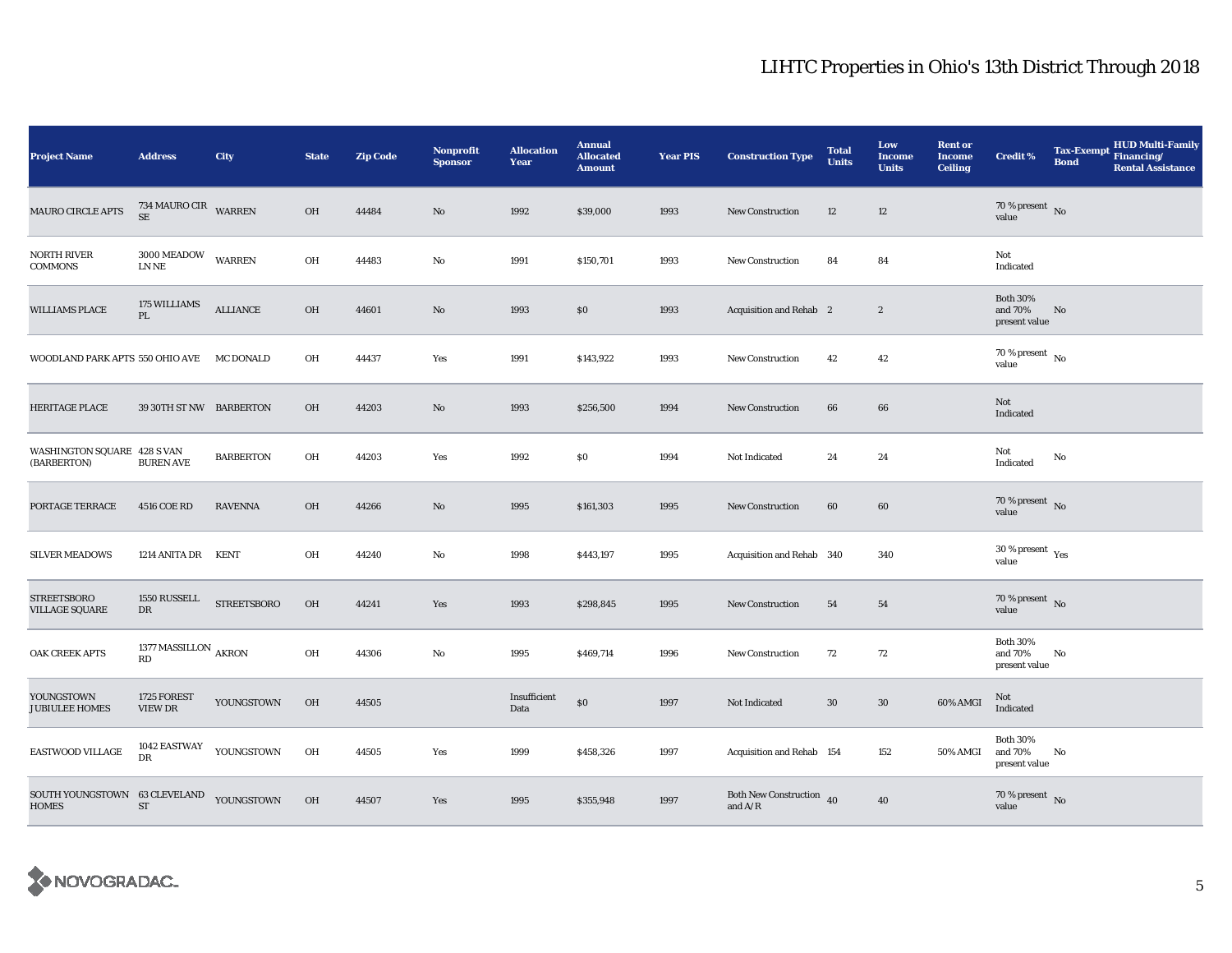| <b>Project Name</b>                                      | <b>Address</b>                      | <b>City</b>               | <b>State</b> | <b>Zip Code</b> | <b>Nonprofit</b><br><b>Sponsor</b> | <b>Allocation</b><br>Year | <b>Annual</b><br><b>Allocated</b><br><b>Amount</b> | <b>Year PIS</b> | <b>Construction Type</b>                  | <b>Total</b><br><b>Units</b> | Low<br><b>Income</b><br><b>Units</b> | <b>Rent or</b><br><b>Income</b><br><b>Ceiling</b> | <b>Credit %</b>                             | <b>Tax-Exempt</b><br><b>Bond</b> | <b>HUD Multi-Family</b><br>Financing/<br><b>Rental Assistance</b> |
|----------------------------------------------------------|-------------------------------------|---------------------------|--------------|-----------------|------------------------------------|---------------------------|----------------------------------------------------|-----------------|-------------------------------------------|------------------------------|--------------------------------------|---------------------------------------------------|---------------------------------------------|----------------------------------|-------------------------------------------------------------------|
| <b>MAURO CIRCLE APTS</b>                                 | 734 MAURO CIR WARREN<br><b>SE</b>   |                           | OH           | 44484           | No                                 | 1992                      | \$39,000                                           | 1993            | <b>New Construction</b>                   | 12                           | 12                                   |                                                   | 70 % present $\hbox{~No}$<br>value          |                                  |                                                                   |
| <b>NORTH RIVER</b><br><b>COMMONS</b>                     | 3000 MEADOW<br>LN NE                | WARREN                    | OH           | 44483           | No                                 | 1991                      | \$150,701                                          | 1993            | <b>New Construction</b>                   | 84                           | 84                                   |                                                   | Not<br>Indicated                            |                                  |                                                                   |
| <b>WILLIAMS PLACE</b>                                    | 175 WILLIAMS<br>$\mathbf{PL}$       | $\operatorname{ALLIANCE}$ | OH           | 44601           | No                                 | 1993                      | \$0                                                | 1993            | Acquisition and Rehab 2                   |                              | $\boldsymbol{2}$                     |                                                   | <b>Both 30%</b><br>and 70%<br>present value | No                               |                                                                   |
| WOODLAND PARK APTS 550 OHIO AVE MC DONALD                |                                     |                           | OH           | 44437           | Yes                                | 1991                      | \$143,922                                          | 1993            | New Construction                          | 42                           | 42                                   |                                                   | 70 % present $\hbox{~No}$<br>value          |                                  |                                                                   |
| HERITAGE PLACE                                           | 39 30TH ST NW BARBERTON             |                           | OH           | 44203           | $\mathbf{N}\mathbf{o}$             | 1993                      | \$256,500                                          | 1994            | New Construction                          | 66                           | 66                                   |                                                   | Not<br>Indicated                            |                                  |                                                                   |
| WASHINGTON SQUARE 428 S VAN<br>(BARBERTON)               | <b>BUREN AVE</b>                    | <b>BARBERTON</b>          | OH           | 44203           | Yes                                | 1992                      | \$0                                                | 1994            | Not Indicated                             | 24                           | 24                                   |                                                   | Not<br>Indicated                            | No                               |                                                                   |
| PORTAGE TERRACE                                          | 4516 COE RD                         | <b>RAVENNA</b>            | OH           | 44266           | $\mathbf{N}\mathbf{o}$             | 1995                      | \$161,303                                          | 1995            | <b>New Construction</b>                   | 60                           | 60                                   |                                                   | $70$ % present $$\rm{No}$$ value            |                                  |                                                                   |
| <b>SILVER MEADOWS</b>                                    | 1214 ANITA DR KENT                  |                           | OH           | 44240           | No                                 | 1998                      | \$443,197                                          | 1995            | Acquisition and Rehab 340                 |                              | 340                                  |                                                   | $30\,\%$ present $\,$ Yes value             |                                  |                                                                   |
| <b>STREETSBORO</b><br><b>VILLAGE SQUARE</b>              | 1550 RUSSELL<br>${\rm DR}$          | <b>STREETSBORO</b>        | OH           | 44241           | Yes                                | 1993                      | \$298,845                                          | 1995            | New Construction                          | 54                           | 54                                   |                                                   | 70 % present $\,$ No $\,$<br>value          |                                  |                                                                   |
| OAK CREEK APTS                                           | 1377 MASSILLON $_{\rm AKRON}$<br>RD |                           | OH           | 44306           | No                                 | 1995                      | \$469,714                                          | 1996            | New Construction                          | 72                           | 72                                   |                                                   | <b>Both 30%</b><br>and 70%<br>present value | No                               |                                                                   |
| YOUNGSTOWN<br><b>JUBIULEE HOMES</b>                      | 1725 FOREST<br><b>VIEW DR</b>       | YOUNGSTOWN                | OH           | 44505           |                                    | Insufficient<br>Data      | $\$0$                                              | 1997            | Not Indicated                             | $30\,$                       | $30\,$                               | 60% AMGI                                          | Not<br>Indicated                            |                                  |                                                                   |
| EASTWOOD VILLAGE                                         | 1042 EASTWAY<br>${\rm DR}$          | YOUNGSTOWN                | OH           | 44505           | Yes                                | 1999                      | \$458,326                                          | 1997            | Acquisition and Rehab 154                 |                              | 152                                  | 50% AMGI                                          | <b>Both 30%</b><br>and 70%<br>present value | No                               |                                                                   |
| SOUTH YOUNGSTOWN 63 CLEVELAND YOUNGSTOWN<br><b>HOMES</b> | <b>ST</b>                           |                           | OH           | 44507           | Yes                                | 1995                      | \$355,948                                          | 1997            | Both New Construction 40<br>and $\rm A/R$ |                              | ${\bf 40}$                           |                                                   | $70\,\%$ present $\,$ No value              |                                  |                                                                   |

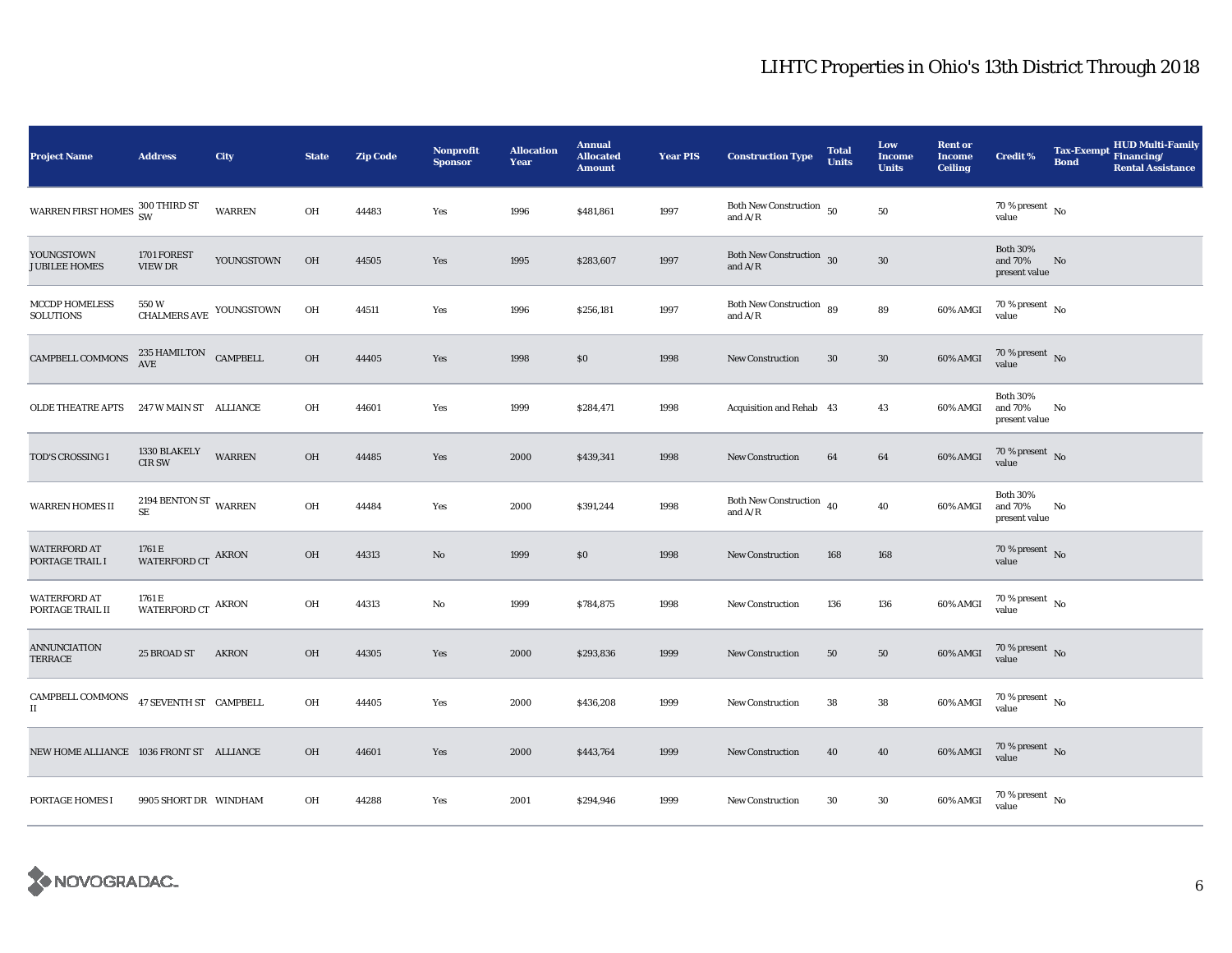| <b>Project Name</b>                                    | <b>Address</b>                                  | City          | <b>State</b> | <b>Zip Code</b> | Nonprofit<br><b>Sponsor</b> | <b>Allocation</b><br>Year | <b>Annual</b><br><b>Allocated</b><br><b>Amount</b> | <b>Year PIS</b> | <b>Construction Type</b>                                                                                  | <b>Total</b><br><b>Units</b> | Low<br><b>Income</b><br><b>Units</b> | <b>Rent or</b><br><b>Income</b><br><b>Ceiling</b> | <b>Credit %</b>                             | <b>Tax-Exempt</b><br><b>Bond</b> | <b>HUD Multi-Family</b><br>Financing/<br><b>Rental Assistance</b> |
|--------------------------------------------------------|-------------------------------------------------|---------------|--------------|-----------------|-----------------------------|---------------------------|----------------------------------------------------|-----------------|-----------------------------------------------------------------------------------------------------------|------------------------------|--------------------------------------|---------------------------------------------------|---------------------------------------------|----------------------------------|-------------------------------------------------------------------|
| WARREN FIRST HOMES 300 THIRD ST                        |                                                 | <b>WARREN</b> | OH           | 44483           | Yes                         | 1996                      | \$481,861                                          | 1997            | Both New Construction $\,$ 50 $\,$<br>and $\ensuremath{\mathrm{A}}\xspace/\ensuremath{\mathrm{R}}\xspace$ |                              | ${\bf 50}$                           |                                                   | 70 % present $\hbox{~No}$<br>value          |                                  |                                                                   |
| YOUNGSTOWN<br><b>JUBILEE HOMES</b>                     | 1701 FOREST<br>VIEW DR                          | YOUNGSTOWN    | OH           | 44505           | Yes                         | 1995                      | \$283,607                                          | 1997            | Both New Construction 30<br>and $A/R$                                                                     |                              | ${\bf 30}$                           |                                                   | <b>Both 30%</b><br>and 70%<br>present value | No                               |                                                                   |
| <b>MCCDP HOMELESS</b><br><b>SOLUTIONS</b>              | $550\,\rm{W}$ $\,$ CHALMERS AVE $\,$ YOUNGSTOWN |               | OH           | 44511           | Yes                         | 1996                      | \$256,181                                          | 1997            | Both New Construction 89<br>and $A/R$                                                                     |                              | ${\bf 89}$                           | 60% AMGI                                          | $70$ % present $_{\rm No}$                  |                                  |                                                                   |
| CAMPBELL COMMONS                                       | $235\,$ HAMILTON $\,$ CAMPBELL AVE              |               | OH           | 44405           | Yes                         | 1998                      | \$0                                                | 1998            | <b>New Construction</b>                                                                                   | 30                           | $30\,$                               | 60% AMGI                                          | 70 % present $\,$ No $\,$<br>value          |                                  |                                                                   |
| OLDE THEATRE APTS                                      | 247 W MAIN ST ALLIANCE                          |               | OH           | 44601           | Yes                         | 1999                      | \$284,471                                          | 1998            | Acquisition and Rehab 43                                                                                  |                              | 43                                   | 60% AMGI                                          | <b>Both 30%</b><br>and 70%<br>present value | No                               |                                                                   |
| TOD'S CROSSING I                                       | 1330 BLAKELY<br><b>CIR SW</b>                   | WARREN        | OH           | 44485           | Yes                         | 2000                      | \$439,341                                          | 1998            | New Construction                                                                                          | 64                           | 64                                   | 60% AMGI                                          | $70\,\%$ present $\,$ No value              |                                  |                                                                   |
| <b>WARREN HOMES II</b>                                 | 2194 BENTON ST WARREN<br>SE.                    |               | OH           | 44484           | Yes                         | 2000                      | \$391,244                                          | 1998            | Both New Construction $\,$ 40<br>and $A/R$                                                                |                              | 40                                   | 60% AMGI                                          | <b>Both 30%</b><br>and 70%<br>present value | No                               |                                                                   |
| <b>WATERFORD AT</b><br>PORTAGE TRAIL I                 | 1761 E<br>WATERFORD CT AKRON                    |               | OH           | 44313           | $\rm No$                    | 1999                      | \$0                                                | 1998            | <b>New Construction</b>                                                                                   | 168                          | 168                                  |                                                   | $70\,\%$ present $\,$ No value              |                                  |                                                                   |
| <b>WATERFORD AT</b><br>PORTAGE TRAIL II                | 1761 E<br>WATERFORD CT $\,$ AKRON               |               | OH           | 44313           | No                          | 1999                      | \$784,875                                          | 1998            | New Construction                                                                                          | 136                          | 136                                  | 60% AMGI                                          | $70\,\%$ present $\,$ No $\,$<br>value      |                                  |                                                                   |
| <b>ANNUNCIATION</b><br>TERRACE                         | 25 BROAD ST                                     | <b>AKRON</b>  | <b>OH</b>    | 44305           | Yes                         | 2000                      | \$293,836                                          | 1999            | <b>New Construction</b>                                                                                   | 50                           | 50                                   | 60% AMGI                                          | $70\,\%$ present $\,$ No value              |                                  |                                                                   |
| $\sf{CAMPBELL}$ $\sf{COMMONS}$<br>$\scriptstyle\rm II$ | 47 SEVENTH ST CAMPBELL                          |               | OH           | 44405           | Yes                         | 2000                      | \$436,208                                          | 1999            | <b>New Construction</b>                                                                                   | 38                           | 38                                   | 60% AMGI                                          | 70 % present $\hbox{~No}$<br>value          |                                  |                                                                   |
| NEW HOME ALLIANCE 1036 FRONT ST ALLIANCE               |                                                 |               | OH           | 44601           | Yes                         | 2000                      | \$443,764                                          | 1999            | <b>New Construction</b>                                                                                   | 40                           | 40                                   | 60% AMGI                                          | $70\,\%$ present $\,$ No value              |                                  |                                                                   |
| PORTAGE HOMES I                                        | 9905 SHORT DR WINDHAM                           |               | OH           | 44288           | Yes                         | 2001                      | \$294,946                                          | 1999            | <b>New Construction</b>                                                                                   | $30\,$                       | $30\,$                               | 60% AMGI                                          | $70\,\%$ present $\,$ No value              |                                  |                                                                   |

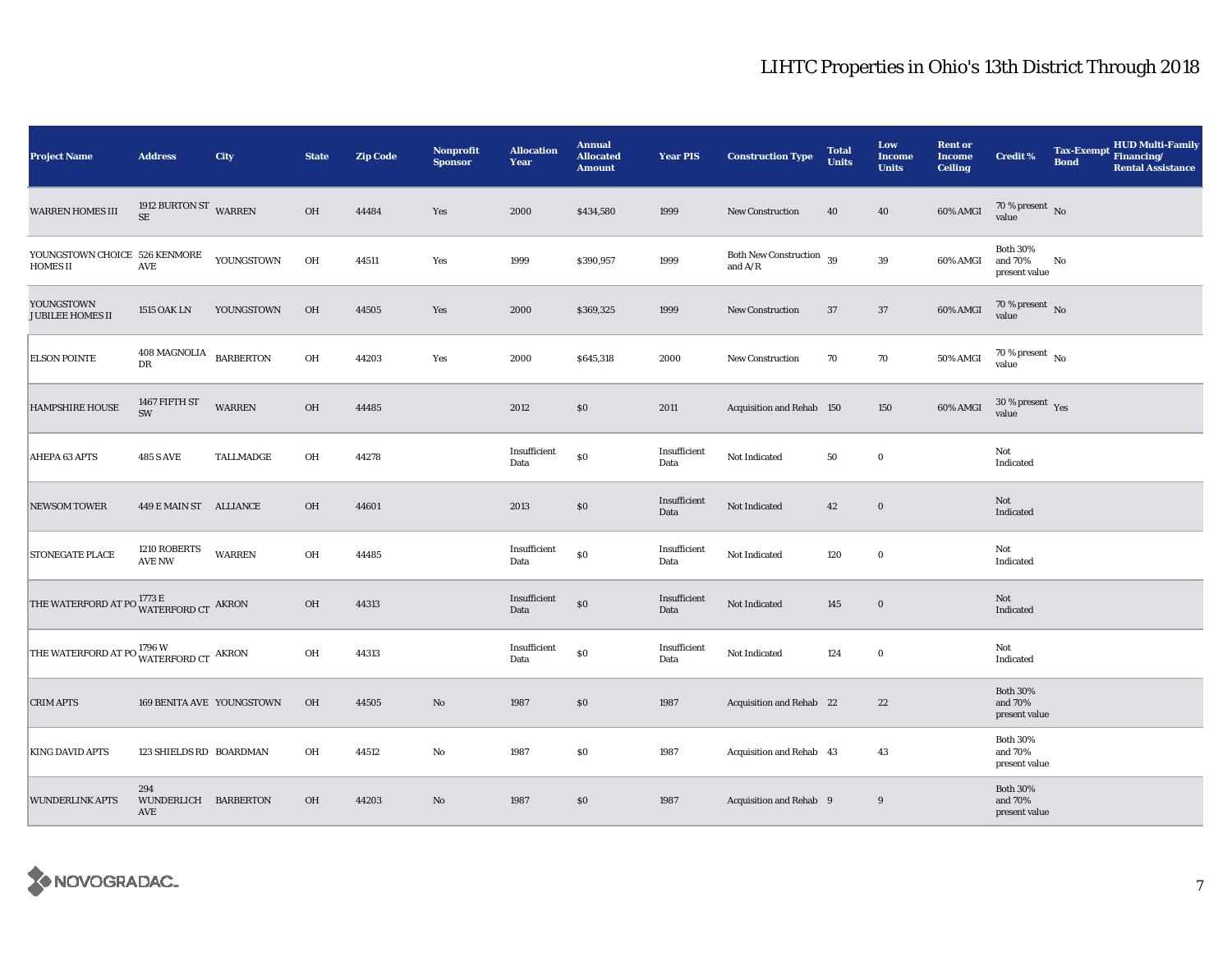| <b>Project Name</b>                                                    | <b>Address</b>                     | City             | <b>State</b> | <b>Zip Code</b> | <b>Nonprofit</b><br><b>Sponsor</b> | <b>Allocation</b><br>Year | <b>Annual</b><br><b>Allocated</b><br><b>Amount</b> | <b>Year PIS</b>      | <b>Construction Type</b>                                                          | <b>Total</b><br><b>Units</b> | Low<br><b>Income</b><br><b>Units</b> | <b>Rent or</b><br><b>Income</b><br><b>Ceiling</b> | Credit %                                    | <b>Tax-Exempt</b><br><b>Bond</b> | HUD Multi-Family<br>Financing/<br><b>Rental Assistance</b> |
|------------------------------------------------------------------------|------------------------------------|------------------|--------------|-----------------|------------------------------------|---------------------------|----------------------------------------------------|----------------------|-----------------------------------------------------------------------------------|------------------------------|--------------------------------------|---------------------------------------------------|---------------------------------------------|----------------------------------|------------------------------------------------------------|
| WARREN HOMES III                                                       | 1912 BURTON ST WARREN<br>$\rm SE$  |                  | OH           | 44484           | Yes                                | 2000                      | \$434,580                                          | 1999                 | New Construction                                                                  | 40                           | 40                                   | 60% AMGI                                          | 70 % present $\hbox{~No}$<br>value          |                                  |                                                            |
| YOUNGSTOWN CHOICE 526 KENMORE<br>HOMES II                              | $\operatorname{AVE}$               | YOUNGSTOWN       | OH           | 44511           | Yes                                | 1999                      | \$390,957                                          | 1999                 | Both New Construction 39<br>and $\ensuremath{\mathrm{A}}/\ensuremath{\mathrm{R}}$ |                              | 39                                   | 60% AMGI                                          | <b>Both 30%</b><br>and 70%<br>present value | No                               |                                                            |
| YOUNGSTOWN<br><b>JUBILEE HOMES II</b>                                  | <b>1515 OAK LN</b>                 | YOUNGSTOWN       | OH           | 44505           | Yes                                | 2000                      | \$369,325                                          | 1999                 | New Construction                                                                  | 37                           | 37                                   | 60% AMGI                                          | $70$ % present $\,$ No value                |                                  |                                                            |
| <b>ELSON POINTE</b>                                                    | 408 MAGNOLIA<br>DR                 | <b>BARBERTON</b> | OH           | 44203           | Yes                                | 2000                      | \$645,318                                          | 2000                 | <b>New Construction</b>                                                           | 70                           | 70                                   | 50% AMGI                                          | 70 % present $\hbox{~No}$<br>value          |                                  |                                                            |
| <b>HAMPSHIRE HOUSE</b>                                                 | 1467 FIFTH ST<br>SW                | <b>WARREN</b>    | $OH$         | 44485           |                                    | 2012                      | $\$0$                                              | 2011                 | Acquisition and Rehab 150                                                         |                              | 150                                  | 60% AMGI                                          | $30\,\%$ present $\,$ Yes value             |                                  |                                                            |
| AHEPA 63 APTS                                                          | <b>485 S AVE</b>                   | TALLMADGE        | OH           | 44278           |                                    | Insufficient<br>Data      | $\$0$                                              | Insufficient<br>Data | Not Indicated                                                                     | 50                           | $\bf{0}$                             |                                                   | Not<br>Indicated                            |                                  |                                                            |
| <b>NEWSOM TOWER</b>                                                    | 449 E MAIN ST ALLIANCE             |                  | OH           | 44601           |                                    | 2013                      | $\$0$                                              | Insufficient<br>Data | Not Indicated                                                                     | 42                           | $\bf{0}$                             |                                                   | Not<br>Indicated                            |                                  |                                                            |
| STONEGATE PLACE                                                        | 1210 ROBERTS<br><b>AVE NW</b>      | <b>WARREN</b>    | OH           | 44485           |                                    | Insufficient<br>Data      | $\$0$                                              | Insufficient<br>Data | Not Indicated                                                                     | 120                          | $\bf{0}$                             |                                                   | Not<br>Indicated                            |                                  |                                                            |
| THE WATERFORD AT PO $\frac{1773 \text{ E}}{\text{WATERFORD CT}}$ AKRON |                                    |                  | $OH$         | 44313           |                                    | Insufficient<br>Data      | $\$0$                                              | Insufficient<br>Data | Not Indicated                                                                     | 145                          | $\mathbf 0$                          |                                                   | Not<br>Indicated                            |                                  |                                                            |
| THE WATERFORD AT PO WATERFORD CT AKRON                                 |                                    |                  | OH           | 44313           |                                    | Insufficient<br>Data      | $\$0$                                              | Insufficient<br>Data | Not Indicated                                                                     | 124                          | $\bf{0}$                             |                                                   | Not<br>Indicated                            |                                  |                                                            |
| <b>CRIM APTS</b>                                                       | 169 BENITA AVE YOUNGSTOWN          |                  | <b>OH</b>    | 44505           | $\rm No$                           | 1987                      | \$0                                                | 1987                 | Acquisition and Rehab 22                                                          |                              | 22                                   |                                                   | <b>Both 30%</b><br>and 70%<br>present value |                                  |                                                            |
| <b>KING DAVID APTS</b>                                                 | 123 SHIELDS RD BOARDMAN            |                  | OH           | 44512           | No                                 | 1987                      | \$0                                                | 1987                 | Acquisition and Rehab 43                                                          |                              | 43                                   |                                                   | <b>Both 30%</b><br>and 70%<br>present value |                                  |                                                            |
| <b>WUNDERLINK APTS</b>                                                 | 294<br>WUNDERLICH BARBERTON<br>AVE |                  | OH           | 44203           | $\rm No$                           | 1987                      | \$0                                                | 1987                 | Acquisition and Rehab 9                                                           |                              | 9                                    |                                                   | <b>Both 30%</b><br>and 70%<br>present value |                                  |                                                            |

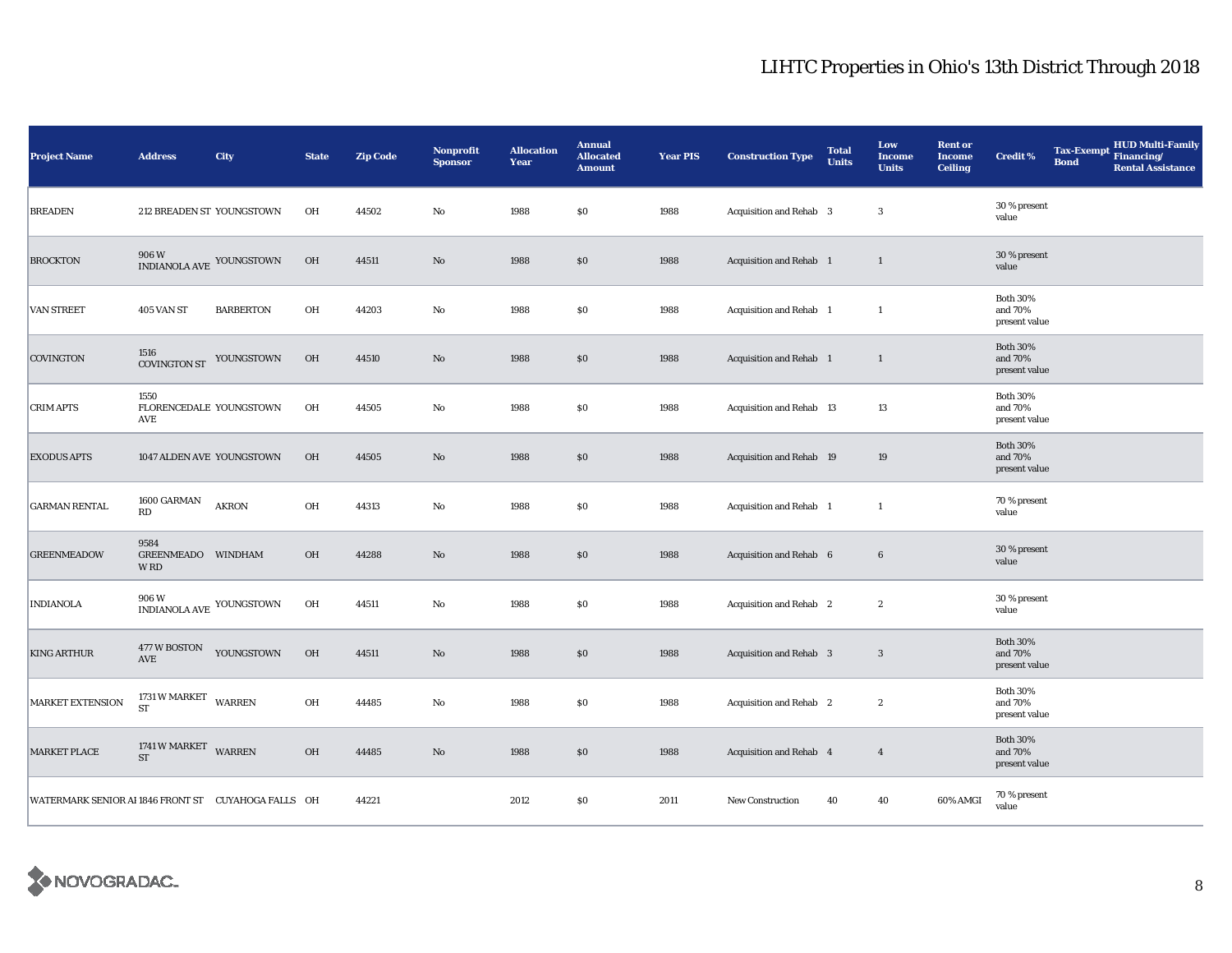| <b>Project Name</b>                                   | <b>Address</b>                          | City                                                                          | <b>State</b> | <b>Zip Code</b> | Nonprofit<br><b>Sponsor</b> | <b>Allocation</b><br>Year | <b>Annual</b><br><b>Allocated</b><br><b>Amount</b> | <b>Year PIS</b> | <b>Construction Type</b>       | <b>Total</b><br><b>Units</b> | Low<br><b>Income</b><br><b>Units</b> | <b>Rent or</b><br><b>Income</b><br><b>Ceiling</b> | <b>Credit %</b>                             | <b>Tax-Exempt</b><br><b>Bond</b> | <b>HUD Multi-Family</b><br>Financing/<br><b>Rental Assistance</b> |
|-------------------------------------------------------|-----------------------------------------|-------------------------------------------------------------------------------|--------------|-----------------|-----------------------------|---------------------------|----------------------------------------------------|-----------------|--------------------------------|------------------------------|--------------------------------------|---------------------------------------------------|---------------------------------------------|----------------------------------|-------------------------------------------------------------------|
| <b>BREADEN</b>                                        | 212 BREADEN ST YOUNGSTOWN               |                                                                               | OH           | 44502           | $\rm No$                    | 1988                      | $\$0$                                              | 1988            | Acquisition and Rehab 3        |                              | $\boldsymbol{3}$                     |                                                   | 30 % present<br>value                       |                                  |                                                                   |
| <b>BROCKTON</b>                                       | 906 W<br>INDIANOLA AVE YOUNGSTOWN       |                                                                               | <b>OH</b>    | 44511           | $\rm No$                    | 1988                      | $\$0$                                              | 1988            | Acquisition and Rehab 1        |                              | $\mathbf{1}$                         |                                                   | 30 % present<br>value                       |                                  |                                                                   |
| <b>VAN STREET</b>                                     | 405 VAN ST                              | <b>BARBERTON</b>                                                              | OH           | 44203           | $\rm No$                    | 1988                      | \$0\$                                              | 1988            | Acquisition and Rehab 1        |                              | $\mathbf{1}$                         |                                                   | <b>Both 30%</b><br>and 70%<br>present value |                                  |                                                                   |
| <b>COVINGTON</b>                                      | 1516<br><b>COVINGTON ST</b>             | YOUNGSTOWN                                                                    | <b>OH</b>    | 44510           | No                          | 1988                      | \$0\$                                              | 1988            | Acquisition and Rehab 1        |                              | $\mathbf{1}$                         |                                                   | <b>Both 30%</b><br>and 70%<br>present value |                                  |                                                                   |
| <b>CRIM APTS</b>                                      | 1550<br>FLORENCEDALE YOUNGSTOWN<br>AVE  |                                                                               | OH           | 44505           | $\rm No$                    | 1988                      | $\$0$                                              | 1988            | Acquisition and Rehab 13       |                              | 13                                   |                                                   | <b>Both 30%</b><br>and 70%<br>present value |                                  |                                                                   |
| <b>EXODUS APTS</b>                                    | 1047 ALDEN AVE YOUNGSTOWN               |                                                                               | OH           | 44505           | $\rm No$                    | 1988                      | \$0\$                                              | 1988            | Acquisition and Rehab 19       |                              | 19                                   |                                                   | <b>Both 30%</b><br>and 70%<br>present value |                                  |                                                                   |
| <b>GARMAN RENTAL</b>                                  | 1600 GARMAN<br>RD                       | <b>AKRON</b>                                                                  | OH           | 44313           | $\rm No$                    | 1988                      | $\$0$                                              | 1988            | Acquisition and Rehab 1        |                              | $\mathbf{1}$                         |                                                   | 70 % present<br>value                       |                                  |                                                                   |
| <b>GREENMEADOW</b>                                    | 9584<br><b>GREENMEADO</b><br><b>WRD</b> | <b>WINDHAM</b>                                                                | OH           | 44288           | $\rm No$                    | 1988                      | $\$0$                                              | 1988            | Acquisition and Rehab 6        |                              | $\bf 6$                              |                                                   | 30 % present<br>value                       |                                  |                                                                   |
| <b>INDIANOLA</b>                                      | 906W                                    | $\mathop{\mbox{\rm INDIANOLA}}\nolimits$ AVE $\mathop{\mbox{\rm YOUNGSTOWN}}$ | OH           | 44511           | $\rm No$                    | 1988                      | \$0\$                                              | 1988            | Acquisition and Rehab 2        |                              | $\boldsymbol{2}$                     |                                                   | 30 % present<br>value                       |                                  |                                                                   |
| <b>KING ARTHUR</b>                                    | 477 W BOSTON<br>AVE                     | YOUNGSTOWN                                                                    | OH           | 44511           | No                          | 1988                      | $\$0$                                              | 1988            | <b>Acquisition and Rehab 3</b> |                              | $\mathbf{3}$                         |                                                   | <b>Both 30%</b><br>and 70%<br>present value |                                  |                                                                   |
| <b>MARKET EXTENSION</b>                               | 1731 W MARKET WARREN<br><b>ST</b>       |                                                                               | OH           | 44485           | $\rm No$                    | 1988                      | $\$0$                                              | 1988            | Acquisition and Rehab 2        |                              | $\boldsymbol{2}$                     |                                                   | <b>Both 30%</b><br>and 70%<br>present value |                                  |                                                                   |
| <b>MARKET PLACE</b>                                   | 1741 W MARKET<br><b>ST</b>              | <b>WARREN</b>                                                                 | OH           | 44485           | $\mathbf {No}$              | 1988                      | \$0\$                                              | 1988            | Acquisition and Rehab 4        |                              | $\overline{4}$                       |                                                   | <b>Both 30%</b><br>and 70%<br>present value |                                  |                                                                   |
| WATERMARK SENIOR AI 1846 FRONT ST  CUYAHOGA FALLS  OH |                                         |                                                                               |              | 44221           |                             | 2012                      | $\$0$                                              | 2011            | New Construction               | 40                           | 40                                   | 60% AMGI                                          | 70 % present<br>value                       |                                  |                                                                   |

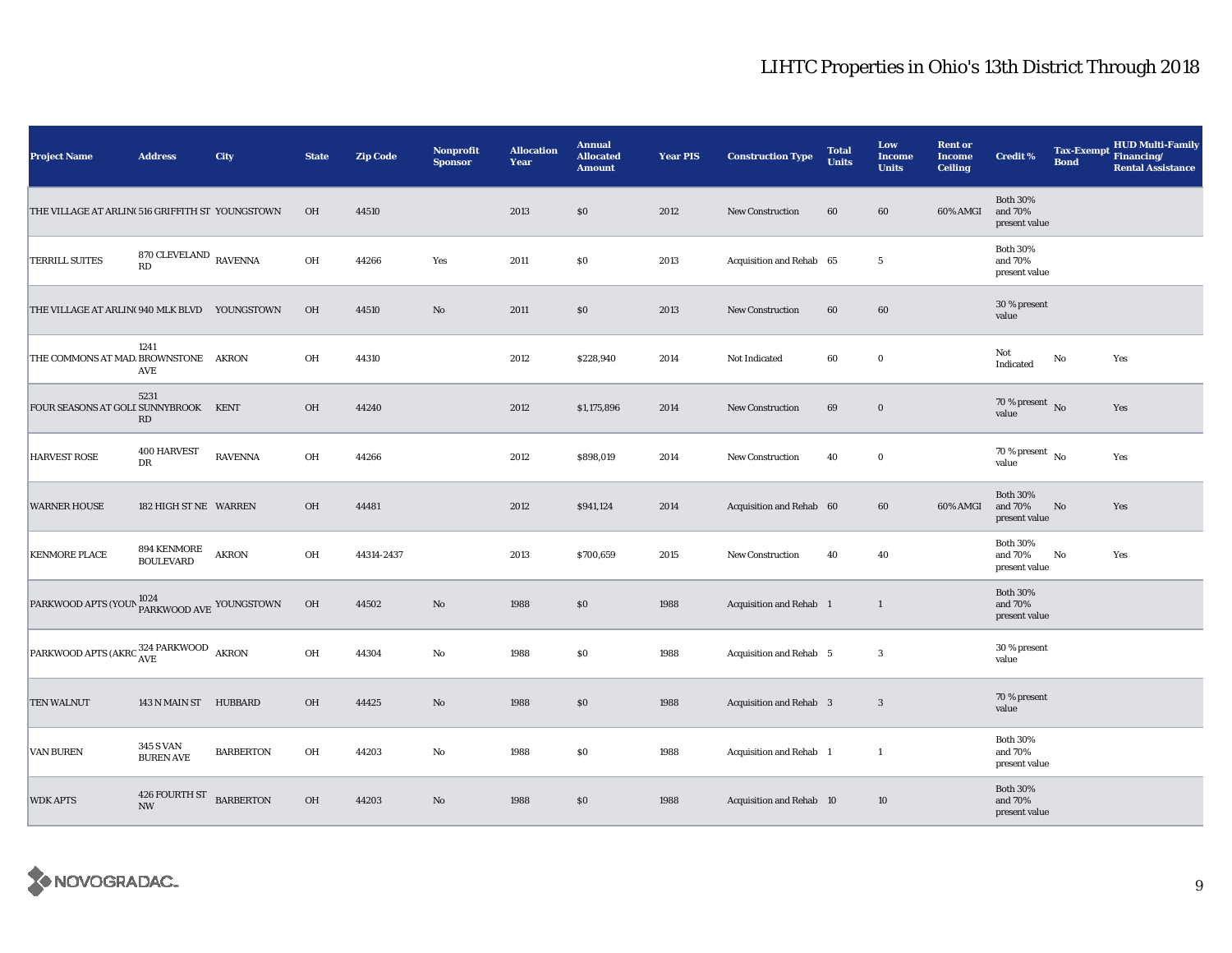| <b>Project Name</b>                                              | <b>Address</b>                         | City             | <b>State</b> | <b>Zip Code</b> | <b>Nonprofit</b><br><b>Sponsor</b> | <b>Allocation</b><br>Year | <b>Annual</b><br><b>Allocated</b><br><b>Amount</b> | <b>Year PIS</b> | <b>Construction Type</b>       | <b>Total</b><br><b>Units</b> | Low<br><b>Income</b><br><b>Units</b> | <b>Rent or</b><br><b>Income</b><br><b>Ceiling</b> | <b>Credit %</b>                             | <b>Tax-Exempt</b><br><b>Bond</b> | <b>HUD Multi-Family</b><br>Financing/<br><b>Rental Assistance</b> |
|------------------------------------------------------------------|----------------------------------------|------------------|--------------|-----------------|------------------------------------|---------------------------|----------------------------------------------------|-----------------|--------------------------------|------------------------------|--------------------------------------|---------------------------------------------------|---------------------------------------------|----------------------------------|-------------------------------------------------------------------|
| THE VILLAGE AT ARLIN(516 GRIFFITH ST YOUNGSTOWN                  |                                        |                  | OH           | 44510           |                                    | 2013                      | $\$0$                                              | 2012            | New Construction               | 60                           | 60                                   | 60% AMGI                                          | <b>Both 30%</b><br>and 70%<br>present value |                                  |                                                                   |
| <b>TERRILL SUITES</b>                                            | 870 CLEVELAND $_{\rm \,RAVENNA}$<br>RD |                  | OH           | 44266           | Yes                                | 2011                      | \$0                                                | 2013            | Acquisition and Rehab 65       |                              | $5\phantom{.0}$                      |                                                   | <b>Both 30%</b><br>and 70%<br>present value |                                  |                                                                   |
| THE VILLAGE AT ARLIN(940 MLK BLVD YOUNGSTOWN                     |                                        |                  | OH           | 44510           | $\rm No$                           | 2011                      | \$0                                                | 2013            | <b>New Construction</b>        | 60                           | 60                                   |                                                   | 30 % present<br>value                       |                                  |                                                                   |
| THE COMMONS AT MAD. BROWNSTONE                                   | 1241<br>AVE                            | <b>AKRON</b>     | OH           | 44310           |                                    | 2012                      | \$228,940                                          | 2014            | Not Indicated                  | 60                           | $\bf{0}$                             |                                                   | Not<br>Indicated                            | No                               | Yes                                                               |
| FOUR SEASONS AT GOLI SUNNYBROOK KENT                             | 5231<br>$\mathbf{R}\mathbf{D}$         |                  | OH           | 44240           |                                    | 2012                      | \$1,175,896                                        | 2014            | <b>New Construction</b>        | 69                           | $\bf{0}$                             |                                                   | 70 % present $\hbox{~No}$<br>value          |                                  | Yes                                                               |
| <b>HARVEST ROSE</b>                                              | <b>400 HARVEST</b><br>DR               | <b>RAVENNA</b>   | OH           | 44266           |                                    | 2012                      | \$898,019                                          | 2014            | <b>New Construction</b>        | 40                           | $\bf{0}$                             |                                                   | $70\,\%$ present $\,$ No $\,$<br>value      |                                  | Yes                                                               |
| <b>WARNER HOUSE</b>                                              | 182 HIGH ST NE WARREN                  |                  | <b>OH</b>    | 44481           |                                    | 2012                      | \$941,124                                          | 2014            | Acquisition and Rehab 60       |                              | 60                                   | 60% AMGI                                          | <b>Both 30%</b><br>and 70%<br>present value | No                               | Yes                                                               |
| <b>KENMORE PLACE</b>                                             | 894 KENMORE<br><b>BOULEVARD</b>        | <b>AKRON</b>     | OH           | 44314-2437      |                                    | 2013                      | \$700,659                                          | 2015            | <b>New Construction</b>        | 40                           | 40                                   |                                                   | <b>Both 30%</b><br>and 70%<br>present value | No                               | Yes                                                               |
| PARKWOOD APTS (YOUN PARKWOOD AVE YOUNGSTOWN                      |                                        |                  | OH           | 44502           | $\rm No$                           | 1988                      | \$0                                                | 1988            | <b>Acquisition and Rehab</b> 1 |                              | $\mathbf{1}$                         |                                                   | <b>Both 30%</b><br>and 70%<br>present value |                                  |                                                                   |
| PARKWOOD APTS (AKRC $_{\mbox{AVE}}^{324\mbox{\,PARKWOOD}}$ AKRON |                                        |                  | OH           | 44304           | No                                 | 1988                      | \$0                                                | 1988            | Acquisition and Rehab 5        |                              | 3                                    |                                                   | 30 % present<br>value                       |                                  |                                                                   |
| <b>TEN WALNUT</b>                                                | 143 N MAIN ST HUBBARD                  |                  | $OH$         | 44425           | $\rm No$                           | 1988                      | \$0                                                | 1988            | Acquisition and Rehab 3        |                              | $\mathbf{3}$                         |                                                   | 70 % present<br>value                       |                                  |                                                                   |
| <b>VAN BUREN</b>                                                 | 345 S VAN<br><b>BUREN AVE</b>          | <b>BARBERTON</b> | OH           | 44203           | No                                 | 1988                      | \$0                                                | 1988            | Acquisition and Rehab 1        |                              | 1                                    |                                                   | <b>Both 30%</b><br>and 70%<br>present value |                                  |                                                                   |
| <b>WDK APTS</b>                                                  | 426 FOURTH ST<br><b>NW</b>             | <b>BARBERTON</b> | $OH$         | 44203           | $\rm No$                           | 1988                      | \$0                                                | 1988            | Acquisition and Rehab 10       |                              | 10                                   |                                                   | <b>Both 30%</b><br>and 70%<br>present value |                                  |                                                                   |

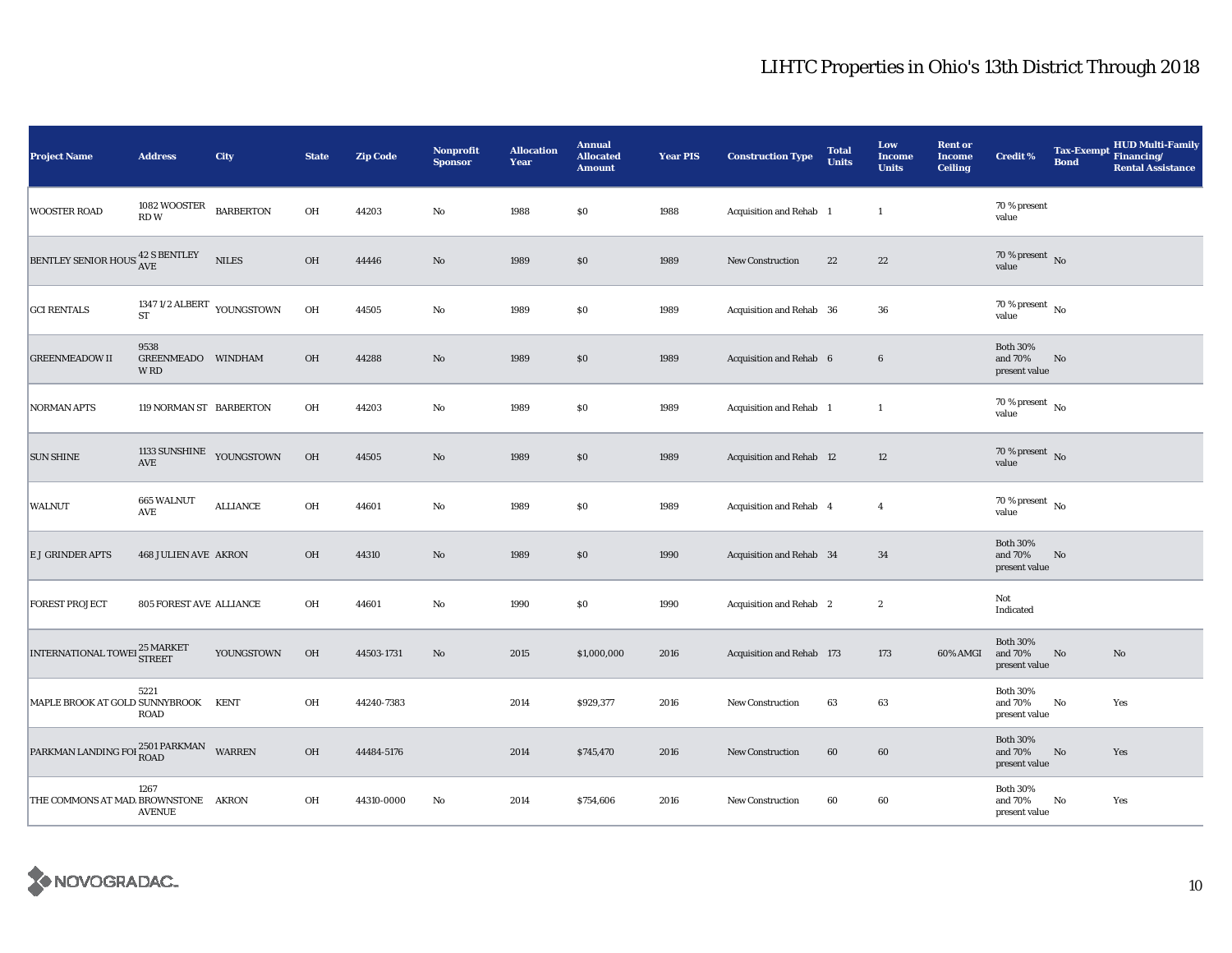| <b>Project Name</b>                  | <b>Address</b>                                   | City             | <b>State</b> | <b>Zip Code</b> | <b>Nonprofit</b><br><b>Sponsor</b> | <b>Allocation</b><br>Year | <b>Annual</b><br><b>Allocated</b><br><b>Amount</b> | <b>Year PIS</b> | <b>Construction Type</b>  | <b>Total</b><br><b>Units</b> | Low<br><b>Income</b><br><b>Units</b> | <b>Rent or</b><br><b>Income</b><br><b>Ceiling</b> | <b>Credit %</b>                             | <b>Tax-Exempt</b><br><b>Bond</b> | <b>HUD Multi-Family</b><br>Financing/<br><b>Rental Assistance</b> |
|--------------------------------------|--------------------------------------------------|------------------|--------------|-----------------|------------------------------------|---------------------------|----------------------------------------------------|-----------------|---------------------------|------------------------------|--------------------------------------|---------------------------------------------------|---------------------------------------------|----------------------------------|-------------------------------------------------------------------|
| <b>WOOSTER ROAD</b>                  | 1082 WOOSTER<br>RDW                              | <b>BARBERTON</b> | OH           | 44203           | $\rm No$                           | 1988                      | \$0                                                | 1988            | Acquisition and Rehab 1   |                              | $\mathbf{1}$                         |                                                   | 70 % present<br>value                       |                                  |                                                                   |
| BENTLEY SENIOR HOUS 42 S BENTLEY     |                                                  | <b>NILES</b>     | OH           | 44446           | $\rm No$                           | 1989                      | \$0                                                | 1989            | <b>New Construction</b>   | 22                           | $\bf{22}$                            |                                                   | $70\%$ present No<br>value                  |                                  |                                                                   |
| <b>GCI RENTALS</b>                   | 1347 1/2 ALBERT YOUNGSTOWN<br><b>ST</b>          |                  | OH           | 44505           | $\rm No$                           | 1989                      | $\$0$                                              | 1989            | Acquisition and Rehab 36  |                              | 36                                   |                                                   | $70\%$ present $\overline{N_0}$<br>value    |                                  |                                                                   |
| <b>GREENMEADOW II</b>                | 9538<br>GREENMEADO WINDHAM<br>W RD               |                  | OH           | 44288           | $\rm No$                           | 1989                      | \$0                                                | 1989            | Acquisition and Rehab 6   |                              | $6\phantom{.0}$                      |                                                   | <b>Both 30%</b><br>and 70%<br>present value | No                               |                                                                   |
| <b>NORMAN APTS</b>                   | 119 NORMAN ST BARBERTON                          |                  | OH           | 44203           | No                                 | 1989                      | \$0                                                | 1989            | Acquisition and Rehab 1   |                              | $\mathbf{1}$                         |                                                   | 70 % present $\hbox{~No}$<br>value          |                                  |                                                                   |
| <b>SUN SHINE</b>                     | 1133 SUNSHINE YOUNGSTOWN<br>$\operatorname{AVE}$ |                  | OH           | 44505           | $\rm No$                           | 1989                      | \$0                                                | 1989            | Acquisition and Rehab 12  |                              | 12                                   |                                                   | 70 % present $\bar{N}$<br>value             |                                  |                                                                   |
| WALNUT                               | 665 WALNUT<br>AVE                                | <b>ALLIANCE</b>  | OH           | 44601           | No                                 | 1989                      | \$0                                                | 1989            | Acquisition and Rehab 4   |                              | $\overline{4}$                       |                                                   | 70 % present $\hbox{~No}$<br>value          |                                  |                                                                   |
| E J GRINDER APTS                     | <b>468 JULIEN AVE AKRON</b>                      |                  | OH           | 44310           | $\rm No$                           | 1989                      | $\$0$                                              | 1990            | Acquisition and Rehab 34  |                              | 34                                   |                                                   | <b>Both 30%</b><br>and 70%<br>present value | $\mathbf{N}\mathbf{o}$           |                                                                   |
| <b>FOREST PROJECT</b>                | <b>805 FOREST AVE ALLIANCE</b>                   |                  | OH           | 44601           | $\rm No$                           | 1990                      | \$0                                                | 1990            | Acquisition and Rehab 2   |                              | $\sqrt{2}$                           |                                                   | Not<br>Indicated                            |                                  |                                                                   |
| INTERNATIONAL TOWEI 25 MARKET        |                                                  | YOUNGSTOWN       | OH           | 44503-1731      | No                                 | 2015                      | \$1,000,000                                        | 2016            | Acquisition and Rehab 173 |                              | 173                                  | 60% AMGI                                          | <b>Both 30%</b><br>and 70%<br>present value | $\mathbf{No}$                    | No                                                                |
| MAPLE BROOK AT GOLD SUNNYBROOK       | 5221<br><b>ROAD</b>                              | <b>KENT</b>      | OH           | 44240-7383      |                                    | 2014                      | \$929,377                                          | 2016            | <b>New Construction</b>   | 63                           | 63                                   |                                                   | <b>Both 30%</b><br>and 70%<br>present value | No                               | Yes                                                               |
| PARKMAN LANDING FOI 2501 PARKMAN     |                                                  | WARREN           | OH           | 44484-5176      |                                    | 2014                      | \$745,470                                          | 2016            | <b>New Construction</b>   | 60                           | 60                                   |                                                   | <b>Both 30%</b><br>and 70%<br>present value | No                               | Yes                                                               |
| THE COMMONS AT MAD. BROWNSTONE AKRON | 1267<br><b>AVENUE</b>                            |                  | OH           | 44310-0000      | No                                 | 2014                      | \$754,606                                          | 2016            | New Construction          | 60                           | 60                                   |                                                   | <b>Both 30%</b><br>and 70%<br>present value | No                               | Yes                                                               |